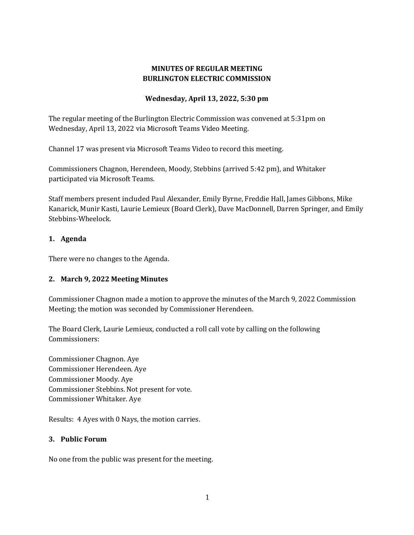# **MINUTES OF REGULAR MEETING BURLINGTON ELECTRIC COMMISSION**

#### **Wednesday, April 13, 2022, 5:30 pm**

The regular meeting of the Burlington Electric Commission was convened at 5:31pm on Wednesday, April 13, 2022 via Microsoft Teams Video Meeting.

Channel 17 was present via Microsoft Teams Video to record this meeting.

Commissioners Chagnon, Herendeen, Moody, Stebbins (arrived 5:42 pm), and Whitaker participated via Microsoft Teams.

Staff members present included Paul Alexander, Emily Byrne, Freddie Hall, James Gibbons, Mike Kanarick, Munir Kasti, Laurie Lemieux (Board Clerk), Dave MacDonnell, Darren Springer, and Emily Stebbins-Wheelock.

# **1. Agenda**

There were no changes to the Agenda.

# **2. March 9, 2022 Meeting Minutes**

Commissioner Chagnon made a motion to approve the minutes of the March 9, 2022 Commission Meeting; the motion was seconded by Commissioner Herendeen.

The Board Clerk, Laurie Lemieux, conducted a roll call vote by calling on the following Commissioners:

Commissioner Chagnon. Aye Commissioner Herendeen. Aye Commissioner Moody. Aye Commissioner Stebbins. Not present for vote. Commissioner Whitaker. Aye

Results: 4 Ayes with 0 Nays, the motion carries.

#### **3. Public Forum**

No one from the public was present for the meeting.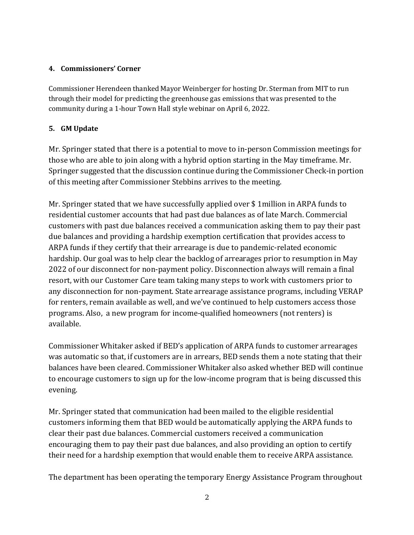# **4. Commissioners' Corner**

Commissioner Herendeen thanked Mayor Weinberger for hosting Dr. Sterman from MIT to run through their model for predicting the greenhouse gas emissions that was presented to the community during a 1-hour Town Hall style webinar on April 6, 2022.

# **5. GM Update**

Mr. Springer stated that there is a potential to move to in-person Commission meetings for those who are able to join along with a hybrid option starting in the May timeframe. Mr. Springer suggested that the discussion continue during the Commissioner Check-in portion of this meeting after Commissioner Stebbins arrives to the meeting.

Mr. Springer stated that we have successfully applied over \$ 1million in ARPA funds to residential customer accounts that had past due balances as of late March. Commercial customers with past due balances received a communication asking them to pay their past due balances and providing a hardship exemption certification that provides access to ARPA funds if they certify that their arrearage is due to pandemic-related economic hardship. Our goal was to help clear the backlog of arrearages prior to resumption in May 2022 of our disconnect for non-payment policy. Disconnection always will remain a final resort, with our Customer Care team taking many steps to work with customers prior to any disconnection for non-payment. State arrearage assistance programs, including VERAP for renters, remain available as well, and we've continued to help customers access those programs. Also, a new program for income-qualified homeowners (not renters) is available.

Commissioner Whitaker asked if BED's application of ARPA funds to customer arrearages was automatic so that, if customers are in arrears, BED sends them a note stating that their balances have been cleared. Commissioner Whitaker also asked whether BED will continue to encourage customers to sign up for the low-income program that is being discussed this evening.

Mr. Springer stated that communication had been mailed to the eligible residential customers informing them that BED would be automatically applying the ARPA funds to clear their past due balances. Commercial customers received a communication encouraging them to pay their past due balances, and also providing an option to certify their need for a hardship exemption that would enable them to receive ARPA assistance.

The department has been operating the temporary Energy Assistance Program throughout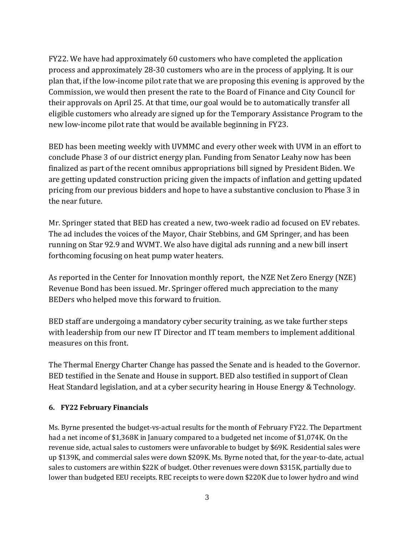FY22. We have had approximately 60 customers who have completed the application process and approximately 28-30 customers who are in the process of applying. It is our plan that, if the low-income pilot rate that we are proposing this evening is approved by the Commission, we would then present the rate to the Board of Finance and City Council for their approvals on April 25. At that time, our goal would be to automatically transfer all eligible customers who already are signed up for the Temporary Assistance Program to the new low-income pilot rate that would be available beginning in FY23.

BED has been meeting weekly with UVMMC and every other week with UVM in an effort to conclude Phase 3 of our district energy plan. Funding from Senator Leahy now has been finalized as part of the recent omnibus appropriations bill signed by President Biden. We are getting updated construction pricing given the impacts of inflation and getting updated pricing from our previous bidders and hope to have a substantive conclusion to Phase 3 in the near future.

Mr. Springer stated that BED has created a new, two-week radio ad focused on EV rebates. The ad includes the voices of the Mayor, Chair Stebbins, and GM Springer, and has been running on Star 92.9 and WVMT. We also have digital ads running and a new bill insert forthcoming focusing on heat pump water heaters.

As reported in the Center for Innovation monthly report, the NZE Net Zero Energy (NZE) Revenue Bond has been issued. Mr. Springer offered much appreciation to the many BEDers who helped move this forward to fruition.

BED staff are undergoing a mandatory cyber security training, as we take further steps with leadership from our new IT Director and IT team members to implement additional measures on this front.

The Thermal Energy Charter Change has passed the Senate and is headed to the Governor. BED testified in the Senate and House in support. BED also testified in support of Clean Heat Standard legislation, and at a cyber security hearing in House Energy & Technology.

# **6. FY22 February Financials**

Ms. Byrne presented the budget-vs-actual results for the month of February FY22. The Department had a net income of \$1,368K in January compared to a budgeted net income of \$1,074K. On the revenue side, actual sales to customers were unfavorable to budget by \$69K. Residential sales were up \$139K, and commercial sales were down \$209K. Ms. Byrne noted that, for the year-to-date, actual sales to customers are within \$22K of budget. Other revenues were down \$315K, partially due to lower than budgeted EEU receipts. REC receipts to were down \$220K due to lower hydro and wind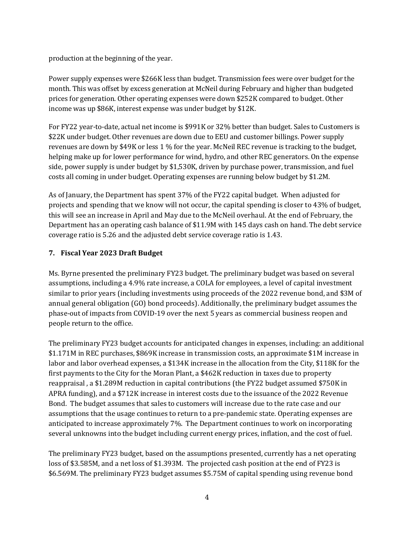production at the beginning of the year.

Power supply expenses were \$266K less than budget. Transmission fees were over budget for the month. This was offset by excess generation at McNeil during February and higher than budgeted prices for generation. Other operating expenses were down \$252K compared to budget. Other income was up \$86K, interest expense was under budget by \$12K.

For FY22 year-to-date, actual net income is \$991K or 32% better than budget. Sales to Customers is \$22K under budget. Other revenues are down due to EEU and customer billings. Power supply revenues are down by \$49K or less 1 % for the year. McNeil REC revenue is tracking to the budget, helping make up for lower performance for wind, hydro, and other REC generators. On the expense side, power supply is under budget by \$1,530K, driven by purchase power, transmission, and fuel costs all coming in under budget. Operating expenses are running below budget by \$1.2M.

As of January, the Department has spent 37% of the FY22 capital budget. When adjusted for projects and spending that we know will not occur, the capital spending is closer to 43% of budget, this will see an increase in April and May due to the McNeil overhaul. At the end of February, the Department has an operating cash balance of \$11.9M with 145 days cash on hand. The debt service coverage ratio is 5.26 and the adjusted debt service coverage ratio is 1.43.

# **7. Fiscal Year 2023 Draft Budget**

Ms. Byrne presented the preliminary FY23 budget. The preliminary budget was based on several assumptions, including a 4.9% rate increase, a COLA for employees, a level of capital investment similar to prior years (including investments using proceeds of the 2022 revenue bond, and \$3M of annual general obligation (GO) bond proceeds). Additionally, the preliminary budget assumes the phase-out of impacts from COVID-19 over the next 5 years as commercial business reopen and people return to the office.

The preliminary FY23 budget accounts for anticipated changes in expenses, including: an additional \$1.171M in REC purchases, \$869K increase in transmission costs, an approximate \$1M increase in labor and labor overhead expenses, a \$134K increase in the allocation from the City, \$118K for the first payments to the City for the Moran Plant, a \$462K reduction in taxes due to property reappraisal , a \$1.289M reduction in capital contributions (the FY22 budget assumed \$750K in APRA funding), and a \$712K increase in interest costs due to the issuance of the 2022 Revenue Bond. The budget assumes that sales to customers will increase due to the rate case and our assumptions that the usage continues to return to a pre-pandemic state. Operating expenses are anticipated to increase approximately 7%. The Department continues to work on incorporating several unknowns into the budget including current energy prices, inflation, and the cost of fuel.

The preliminary FY23 budget, based on the assumptions presented, currently has a net operating loss of \$3.585M, and a net loss of \$1.393M. The projected cash position at the end of FY23 is \$6.569M. The preliminary FY23 budget assumes \$5.75M of capital spending using revenue bond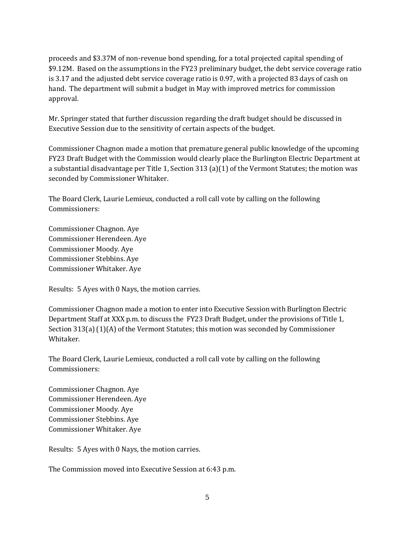proceeds and \$3.37M of non-revenue bond spending, for a total projected capital spending of \$9.12M. Based on the assumptions in the FY23 preliminary budget, the debt service coverage ratio is 3.17 and the adjusted debt service coverage ratio is 0.97, with a projected 83 days of cash on hand. The department will submit a budget in May with improved metrics for commission approval.

Mr. Springer stated that further discussion regarding the draft budget should be discussed in Executive Session due to the sensitivity of certain aspects of the budget.

Commissioner Chagnon made a motion that premature general public knowledge of the upcoming FY23 Draft Budget with the Commission would clearly place the Burlington Electric Department at a substantial disadvantage per Title 1, Section 313 (a)(1) of the Vermont Statutes; the motion was seconded by Commissioner Whitaker.

The Board Clerk, Laurie Lemieux, conducted a roll call vote by calling on the following Commissioners:

Commissioner Chagnon. Aye Commissioner Herendeen. Aye Commissioner Moody. Aye Commissioner Stebbins. Aye Commissioner Whitaker. Aye

Results: 5 Ayes with 0 Nays, the motion carries.

Commissioner Chagnon made a motion to enter into Executive Session with Burlington Electric Department Staff at XXX p.m. to discuss the FY23 Draft Budget, under the provisions of Title 1, Section 313(a) (1)(A) of the Vermont Statutes; this motion was seconded by Commissioner Whitaker.

The Board Clerk, Laurie Lemieux, conducted a roll call vote by calling on the following Commissioners:

Commissioner Chagnon. Aye Commissioner Herendeen. Aye Commissioner Moody. Aye Commissioner Stebbins. Aye Commissioner Whitaker. Aye

Results: 5 Ayes with 0 Nays, the motion carries.

The Commission moved into Executive Session at 6:43 p.m.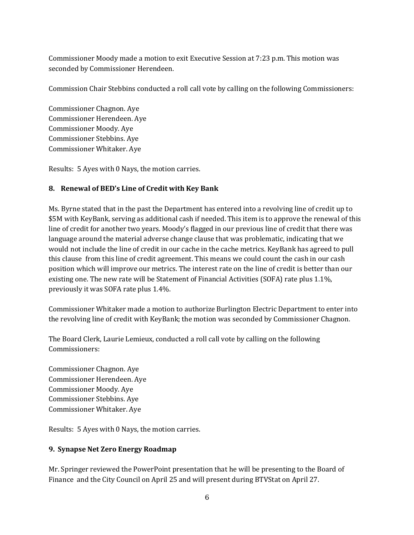Commissioner Moody made a motion to exit Executive Session at 7:23 p.m. This motion was seconded by Commissioner Herendeen.

Commission Chair Stebbins conducted a roll call vote by calling on the following Commissioners:

Commissioner Chagnon. Aye Commissioner Herendeen. Aye Commissioner Moody. Aye Commissioner Stebbins. Aye Commissioner Whitaker. Aye

Results: 5 Ayes with 0 Nays, the motion carries.

#### **8. Renewal of BED's Line of Credit with Key Bank**

Ms. Byrne stated that in the past the Department has entered into a revolving line of credit up to \$5M with KeyBank, serving as additional cash if needed. This item is to approve the renewal of this line of credit for another two years. Moody's flagged in our previous line of credit that there was language around the material adverse change clause that was problematic, indicating that we would not include the line of credit in our cache in the cache metrics. KeyBank has agreed to pull this clause from this line of credit agreement. This means we could count the cash in our cash position which will improve our metrics. The interest rate on the line of credit is better than our existing one. The new rate will be Statement of Financial Activities (SOFA) rate plus 1.1%, previously it was SOFA rate plus 1.4%.

Commissioner Whitaker made a motion to authorize Burlington Electric Department to enter into the revolving line of credit with KeyBank; the motion was seconded by Commissioner Chagnon.

The Board Clerk, Laurie Lemieux, conducted a roll call vote by calling on the following Commissioners:

Commissioner Chagnon. Aye Commissioner Herendeen. Aye Commissioner Moody. Aye Commissioner Stebbins. Aye Commissioner Whitaker. Aye

Results: 5 Ayes with 0 Nays, the motion carries.

# **9. Synapse Net Zero Energy Roadmap**

Mr. Springer reviewed the PowerPoint presentation that he will be presenting to the Board of Finance and the City Council on April 25 and will present during BTVStat on April 27.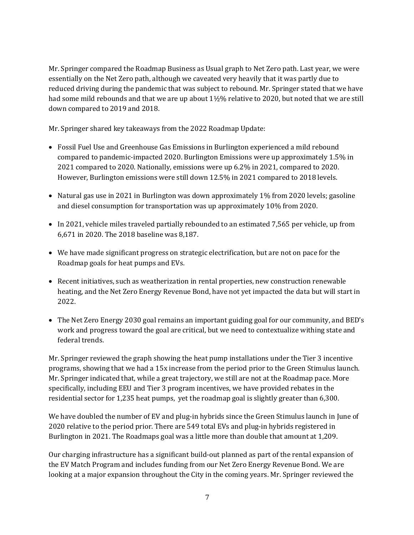Mr. Springer compared the Roadmap Business as Usual graph to Net Zero path. Last year, we were essentially on the Net Zero path, although we caveated very heavily that it was partly due to reduced driving during the pandemic that was subject to rebound. Mr. Springer stated that we have had some mild rebounds and that we are up about 1½% relative to 2020, but noted that we are still down compared to 2019 and 2018.

Mr. Springer shared key takeaways from the 2022 Roadmap Update:

- Fossil Fuel Use and Greenhouse Gas Emissions in Burlington experienced a mild rebound compared to pandemic-impacted 2020. Burlington Emissions were up approximately 1.5% in 2021 compared to 2020. Nationally, emissions were up 6.2% in 2021, compared to 2020. However, Burlington emissions were still down 12.5% in 2021 compared to 2018 levels.
- Natural gas use in 2021 in Burlington was down approximately 1% from 2020 levels; gasoline and diesel consumption for transportation was up approximately 10% from 2020.
- In 2021, vehicle miles traveled partially rebounded to an estimated 7,565 per vehicle, up from 6,671 in 2020. The 2018 baseline was 8,187.
- We have made significant progress on strategic electrification, but are not on pace for the Roadmap goals for heat pumps and EVs.
- Recent initiatives, such as weatherization in rental properties, new construction renewable heating, and the Net Zero Energy Revenue Bond, have not yet impacted the data but will start in 2022.
- The Net Zero Energy 2030 goal remains an important guiding goal for our community, and BED's work and progress toward the goal are critical, but we need to contextualize withing state and federal trends.

Mr. Springer reviewed the graph showing the heat pump installations under the Tier 3 incentive programs, showing that we had a 15x increase from the period prior to the Green Stimulus launch. Mr. Springer indicated that, while a great trajectory, we still are not at the Roadmap pace. More specifically, including EEU and Tier 3 program incentives, we have provided rebates in the residential sector for 1,235 heat pumps, yet the roadmap goal is slightly greater than 6,300.

We have doubled the number of EV and plug-in hybrids since the Green Stimulus launch in June of 2020 relative to the period prior. There are 549 total EVs and plug-in hybrids registered in Burlington in 2021. The Roadmaps goal was a little more than double that amount at 1,209.

Our charging infrastructure has a significant build-out planned as part of the rental expansion of the EV Match Program and includes funding from our Net Zero Energy Revenue Bond. We are looking at a major expansion throughout the City in the coming years. Mr. Springer reviewed the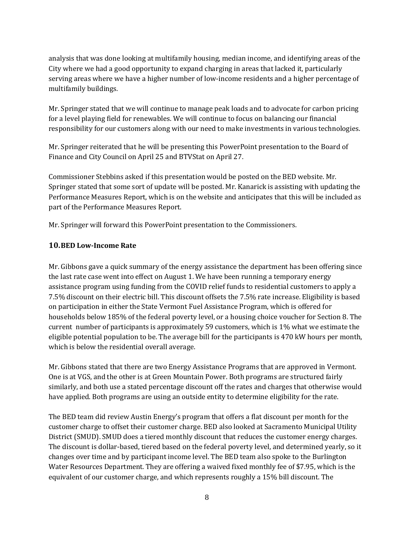analysis that was done looking at multifamily housing, median income, and identifying areas of the City where we had a good opportunity to expand charging in areas that lacked it, particularly serving areas where we have a higher number of low-income residents and a higher percentage of multifamily buildings.

Mr. Springer stated that we will continue to manage peak loads and to advocate for carbon pricing for a level playing field for renewables. We will continue to focus on balancing our financial responsibility for our customers along with our need to make investments in various technologies.

Mr. Springer reiterated that he will be presenting this PowerPoint presentation to the Board of Finance and City Council on April 25 and BTVStat on April 27.

Commissioner Stebbins asked if this presentation would be posted on the BED website. Mr. Springer stated that some sort of update will be posted. Mr. Kanarick is assisting with updating the Performance Measures Report, which is on the website and anticipates that this will be included as part of the Performance Measures Report.

Mr. Springer will forward this PowerPoint presentation to the Commissioners.

#### **10.BED Low-Income Rate**

Mr. Gibbons gave a quick summary of the energy assistance the department has been offering since the last rate case went into effect on August 1. We have been running a temporary energy assistance program using funding from the COVID relief funds to residential customers to apply a 7.5% discount on their electric bill. This discount offsets the 7.5% rate increase. Eligibility is based on participation in either the State Vermont Fuel Assistance Program, which is offered for households below 185% of the federal poverty level, or a housing choice voucher for Section 8. The current number of participants is approximately 59 customers, which is 1% what we estimate the eligible potential population to be. The average bill for the participants is 470 kW hours per month, which is below the residential overall average.

Mr. Gibbons stated that there are two Energy Assistance Programs that are approved in Vermont. One is at VGS, and the other is at Green Mountain Power. Both programs are structured fairly similarly, and both use a stated percentage discount off the rates and charges that otherwise would have applied. Both programs are using an outside entity to determine eligibility for the rate.

The BED team did review Austin Energy's program that offers a flat discount per month for the customer charge to offset their customer charge. BED also looked at Sacramento Municipal Utility District (SMUD). SMUD does a tiered monthly discount that reduces the customer energy charges. The discount is dollar-based, tiered based on the federal poverty level, and determined yearly, so it changes over time and by participant income level. The BED team also spoke to the Burlington Water Resources Department. They are offering a waived fixed monthly fee of \$7.95, which is the equivalent of our customer charge, and which represents roughly a 15% bill discount. The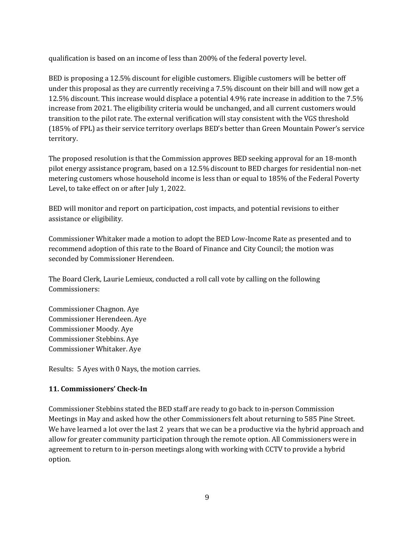qualification is based on an income of less than 200% of the federal poverty level.

BED is proposing a 12.5% discount for eligible customers. Eligible customers will be better off under this proposal as they are currently receiving a 7.5% discount on their bill and will now get a 12.5% discount. This increase would displace a potential 4.9% rate increase in addition to the 7.5% increase from 2021. The eligibility criteria would be unchanged, and all current customers would transition to the pilot rate. The external verification will stay consistent with the VGS threshold (185% of FPL) as their service territory overlaps BED's better than Green Mountain Power's service territory.

The proposed resolution is that the Commission approves BED seeking approval for an 18-month pilot energy assistance program, based on a 12.5% discount to BED charges for residential non-net metering customers whose household income is less than or equal to 185% of the Federal Poverty Level, to take effect on or after July 1, 2022.

BED will monitor and report on participation, cost impacts, and potential revisions to either assistance or eligibility.

Commissioner Whitaker made a motion to adopt the BED Low-Income Rate as presented and to recommend adoption of this rate to the Board of Finance and City Council; the motion was seconded by Commissioner Herendeen.

The Board Clerk, Laurie Lemieux, conducted a roll call vote by calling on the following Commissioners:

Commissioner Chagnon. Aye Commissioner Herendeen. Aye Commissioner Moody. Aye Commissioner Stebbins. Aye Commissioner Whitaker. Aye

Results: 5 Ayes with 0 Nays, the motion carries.

# **11. Commissioners' Check-In**

Commissioner Stebbins stated the BED staff are ready to go back to in-person Commission Meetings in May and asked how the other Commissioners felt about returning to 585 Pine Street. We have learned a lot over the last 2 years that we can be a productive via the hybrid approach and allow for greater community participation through the remote option. All Commissioners were in agreement to return to in-person meetings along with working with CCTV to provide a hybrid option.